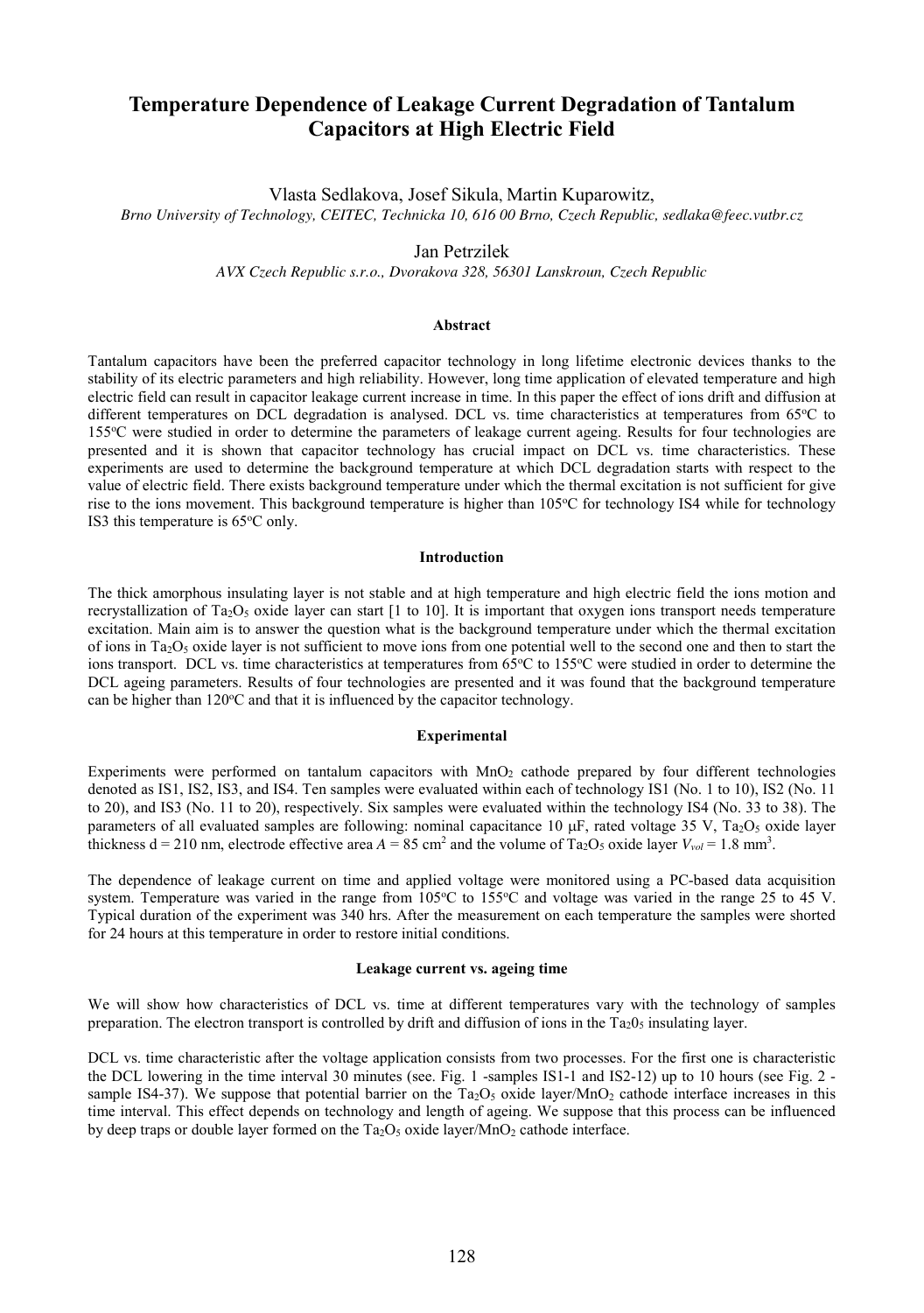# **Temperature Dependence of Leakage Current Degradation of Tantalum Capacitors at High Electric Field**

Vlasta Sedlakova, Josef Sikula, Martin Kuparowitz,

*Brno University of Technology, CEITEC, Technicka 10, 616 00 Brno, Czech Republic, sedlaka@feec.vutbr.cz*

# Jan Petrzilek

*AVX Czech Republic s.r.o., Dvorakova 328, 56301 Lanskroun, Czech Republic*

## **Abstract**

Tantalum capacitors have been the preferred capacitor technology in long lifetime electronic devices thanks to the stability of its electric parameters and high reliability. However, long time application of elevated temperature and high electric field can result in capacitor leakage current increase in time. In this paper the effect of ions drift and diffusion at different temperatures on DCL degradation is analysed. DCL vs. time characteristics at temperatures from 65°C to 155<sup>o</sup>C were studied in order to determine the parameters of leakage current ageing. Results for four technologies are presented and it is shown that capacitor technology has crucial impact on DCL vs. time characteristics. These experiments are used to determine the background temperature at which DCL degradation starts with respect to the value of electric field. There exists background temperature under which the thermal excitation is not sufficient for give rise to the ions movement. This background temperature is higher than 105°C for technology IS4 while for technology IS3 this temperature is 65°C only.

# **Introduction**

The thick amorphous insulating layer is not stable and at high temperature and high electric field the ions motion and recrystallization of Ta<sub>2</sub>O<sub>5</sub> oxide layer can start [1 to 10]. It is important that oxygen ions transport needs temperature excitation. Main aim is to answer the question what is the background temperature under which the thermal excitation of ions in Ta<sub>2</sub>O<sub>5</sub> oxide layer is not sufficient to move ions from one potential well to the second one and then to start the ions transport. DCL vs. time characteristics at temperatures from 65°C to 155°C were studied in order to determine the DCL ageing parameters. Results of four technologies are presented and it was found that the background temperature can be higher than  $120^{\circ}$ C and that it is influenced by the capacitor technology.

#### **Experimental**

Experiments were performed on tantalum capacitors with MnO<sub>2</sub> cathode prepared by four different technologies denoted as IS1, IS2, IS3, and IS4. Ten samples were evaluated within each of technology IS1 (No. 1 to 10), IS2 (No. 11 to 20), and IS3 (No. 11 to 20), respectively. Six samples were evaluated within the technology IS4 (No. 33 to 38). The parameters of all evaluated samples are following: nominal capacitance 10  $\mu$ F, rated voltage 35 V, Ta<sub>2</sub>O<sub>5</sub> oxide layer thickness  $d = 210$  nm, electrode effective area  $A = 85$  cm<sup>2</sup> and the volume of Ta<sub>2</sub>O<sub>5</sub> oxide layer  $V_{vol} = 1.8$  mm<sup>3</sup>.

The dependence of leakage current on time and applied voltage were monitored using a PC-based data acquisition system. Temperature was varied in the range from 105°C to 155°C and voltage was varied in the range 25 to 45 V. Typical duration of the experiment was 340 hrs. After the measurement on each temperature the samples were shorted for 24 hours at this temperature in order to restore initial conditions.

## **Leakage current vs. ageing time**

We will show how characteristics of DCL vs. time at different temperatures vary with the technology of samples preparation. The electron transport is controlled by drift and diffusion of ions in the  $Ta_2O_5$  insulating layer.

DCL vs. time characteristic after the voltage application consists from two processes. For the first one is characteristic the DCL lowering in the time interval 30 minutes (see. Fig. 1 -samples IS1-1 and IS2-12) up to 10 hours (see Fig. 2 sample IS4-37). We suppose that potential barrier on the  $Ta_2O_5$  oxide layer/MnO<sub>2</sub> cathode interface increases in this time interval. This effect depends on technology and length of ageing. We suppose that this process can be influenced by deep traps or double layer formed on the  $Ta_2O_5$  oxide layer/MnO<sub>2</sub> cathode interface.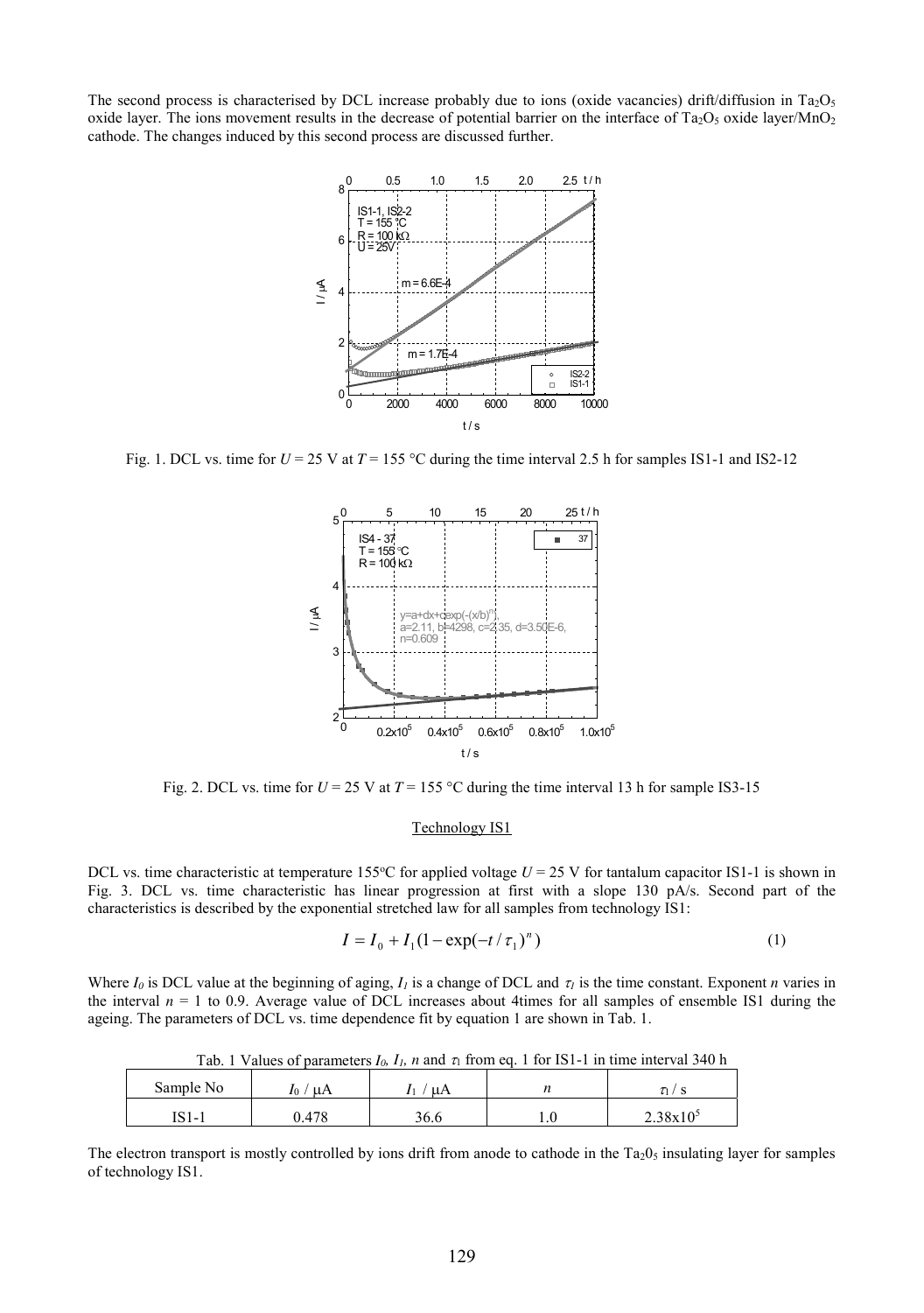The second process is characterised by DCL increase probably due to ions (oxide vacancies) drift/diffusion in Ta<sub>2</sub>O<sub>5</sub> oxide layer. The ions movement results in the decrease of potential barrier on the interface of  $Ta_2O_5$  oxide layer/MnO<sub>2</sub> cathode. The changes induced by this second process are discussed further.



Fig. 1. DCL vs. time for  $U = 25$  V at  $T = 155$  °C during the time interval 2.5 h for samples IS1-1 and IS2-12



Fig. 2. DCL vs. time for  $U = 25$  V at  $T = 155$  °C during the time interval 13 h for sample IS3-15

#### Technology IS1

DCL vs. time characteristic at temperature 155 $\degree$ C for applied voltage  $U = 25$  V for tantalum capacitor IS1-1 is shown in Fig. 3. DCL vs. time characteristic has linear progression at first with a slope 130 pA/s. Second part of the characteristics is described by the exponential stretched law for all samples from technology IS1:

$$
I = I_0 + I_1 (1 - \exp(-t/\tau_1)^n)
$$
 (1)

Where  $I_0$  is DCL value at the beginning of aging,  $I_1$  is a change of DCL and  $\tau_1$  is the time constant. Exponent *n* varies in the interval  $n = 1$  to 0.9. Average value of DCL increases about 4times for all samples of ensemble IS1 during the ageing. The parameters of DCL vs. time dependence fit by equation 1 are shown in Tab. 1.

|           |       |      | TWOL. I I WINNED OF PARAMITENTS IN THE THE WINNED SI TROIT WAS INTO THE TOT TO THE WINNED THAT OF THE UPPER THAT THE |                      |
|-----------|-------|------|----------------------------------------------------------------------------------------------------------------------|----------------------|
| Sample No | 10    | ΄ uΑ |                                                                                                                      |                      |
| IS1-1     | J.478 | 36.6 |                                                                                                                      | 2.38x10 <sup>5</sup> |

Tab. 1 Values of parameters  $I_0$ ,  $I_1$ ,  $n$  and  $\tau$  from eq. 1 for IS1-1 in time interval 340 h

The electron transport is mostly controlled by ions drift from anode to cathode in the  $Ta_2O_5$  insulating layer for samples of technology IS1.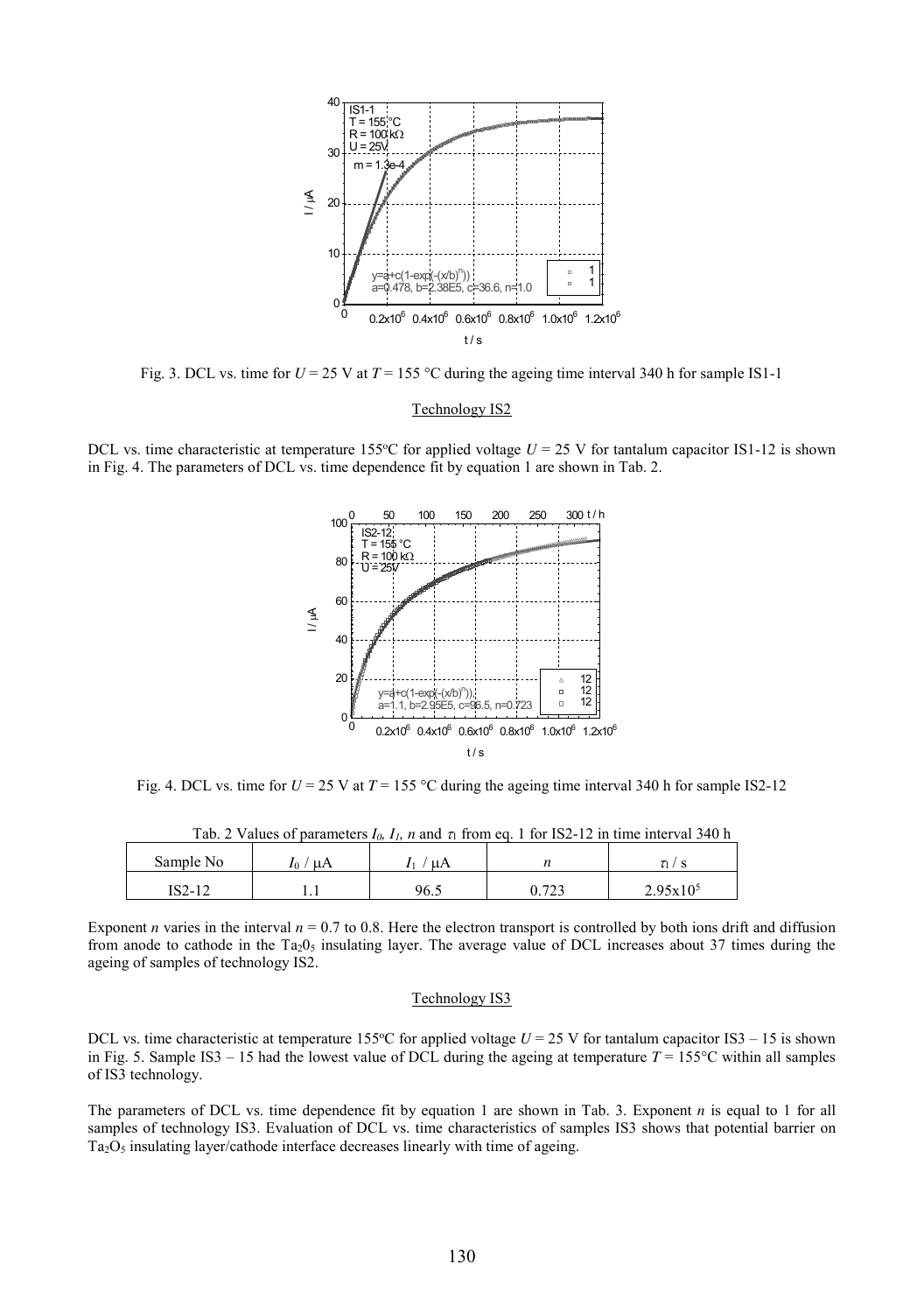

Fig. 3. DCL vs. time for  $U = 25$  V at  $T = 155$  °C during the ageing time interval 340 h for sample IS1-1

#### Technology IS2

DCL vs. time characteristic at temperature 155 $^{\circ}$ C for applied voltage  $U = 25$  V for tantalum capacitor IS1-12 is shown in Fig. 4. The parameters of DCL vs. time dependence fit by equation 1 are shown in Tab. 2.



Fig. 4. DCL vs. time for  $U = 25$  V at  $T = 155$  °C during the ageing time interval 340 h for sample IS2-12

| $140.2$ values of parameters $I/h$ $I/h$ and $I_1$ from eq. 1 for 152 12 in this mean value of $\mu$ |  |      |  |               |  |
|------------------------------------------------------------------------------------------------------|--|------|--|---------------|--|
| Sample No                                                                                            |  |      |  |               |  |
| IS2-12                                                                                               |  | 96.5 |  | $2.95x10^{5}$ |  |

Tab. 2 Values of parameters  $I_0$ ,  $I_1$ , *n* and  $\tau_1$  from eq. 1 for IS2-12 in time interval 340 h

Exponent *n* varies in the interval  $n = 0.7$  to 0.8. Here the electron transport is controlled by both ions drift and diffusion from anode to cathode in the Ta<sub>2</sub>0<sub>5</sub> insulating layer. The average value of DCL increases about 37 times during the ageing of samples of technology IS2.

## Technology IS3

DCL vs. time characteristic at temperature 155 $^{\circ}$ C for applied voltage  $U = 25$  V for tantalum capacitor IS3 – 15 is shown in Fig. 5. Sample IS3 – 15 had the lowest value of DCL during the ageing at temperature  $T = 155^{\circ}$ C within all samples of IS3 technology.

The parameters of DCL vs. time dependence fit by equation 1 are shown in Tab. 3. Exponent *n* is equal to 1 for all samples of technology IS3. Evaluation of DCL vs. time characteristics of samples IS3 shows that potential barrier on Ta2O<sup>5</sup> insulating layer/cathode interface decreases linearly with time of ageing.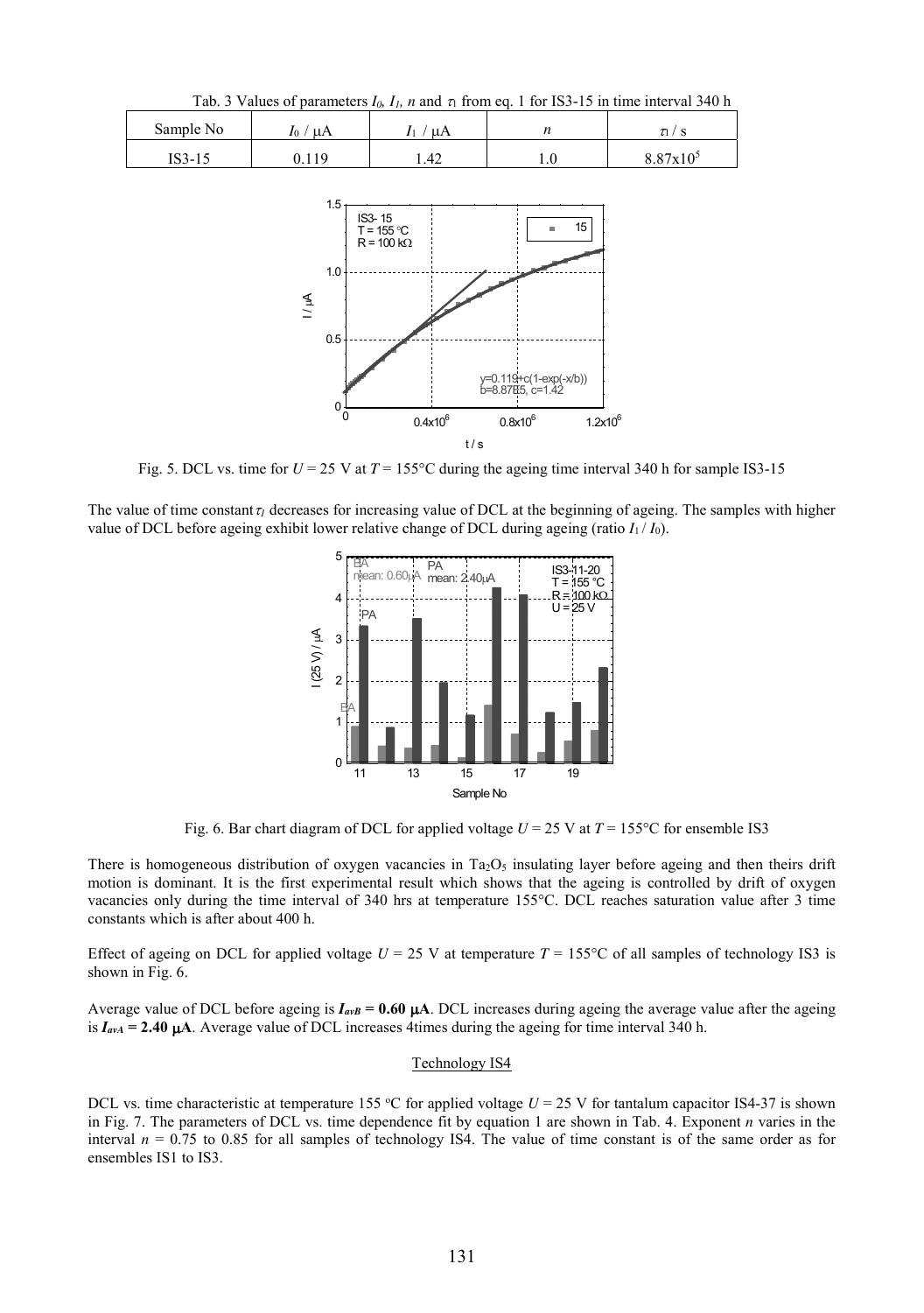Tab. 3 Values of parameters  $I_0$ ,  $I_1$ , n and  $\tau_1$  from eq. 1 for IS3-15 in time interval 340 h

| Sample No | μA<br>$I_0$ | μA                  |     |             |
|-----------|-------------|---------------------|-----|-------------|
| $IS3-15$  |             | $\Lambda$<br>. . ⊤∠ | 1.V | $QQ7_v10^5$ |



Fig. 5. DCL vs. time for  $U = 25$  V at  $T = 155^{\circ}$ C during the ageing time interval 340 h for sample IS3-15

The value of time constant  $\tau_1$  decreases for increasing value of DCL at the beginning of ageing. The samples with higher value of DCL before ageing exhibit lower relative change of DCL during ageing (ratio  $I_1 / I_0$ ).



Fig. 6. Bar chart diagram of DCL for applied voltage  $U = 25$  V at  $T = 155^{\circ}$ C for ensemble IS3

There is homogeneous distribution of oxygen vacancies in  $Ta_2O_5$  insulating layer before ageing and then theirs drift motion is dominant. It is the first experimental result which shows that the ageing is controlled by drift of oxygen vacancies only during the time interval of 340 hrs at temperature 155°C. DCL reaches saturation value after 3 time constants which is after about 400 h.

Effect of ageing on DCL for applied voltage  $U = 25$  V at temperature  $T = 155^{\circ}\text{C}$  of all samples of technology IS3 is shown in Fig. 6.

Average value of DCL before ageing is  $I_{\alpha\beta} = 0.60 \mu A$ . DCL increases during ageing the average value after the ageing is  $I_{\text{avA}} = 2.40 \, \mu\text{A}$ . Average value of DCL increases 4times during the ageing for time interval 340 h.

## Technology IS4

DCL vs. time characteristic at temperature 155 °C for applied voltage  $U = 25$  V for tantalum capacitor IS4-37 is shown in Fig. 7. The parameters of DCL vs. time dependence fit by equation 1 are shown in Tab. 4. Exponent *n* varies in the interval  $n = 0.75$  to 0.85 for all samples of technology IS4. The value of time constant is of the same order as for ensembles IS1 to IS3.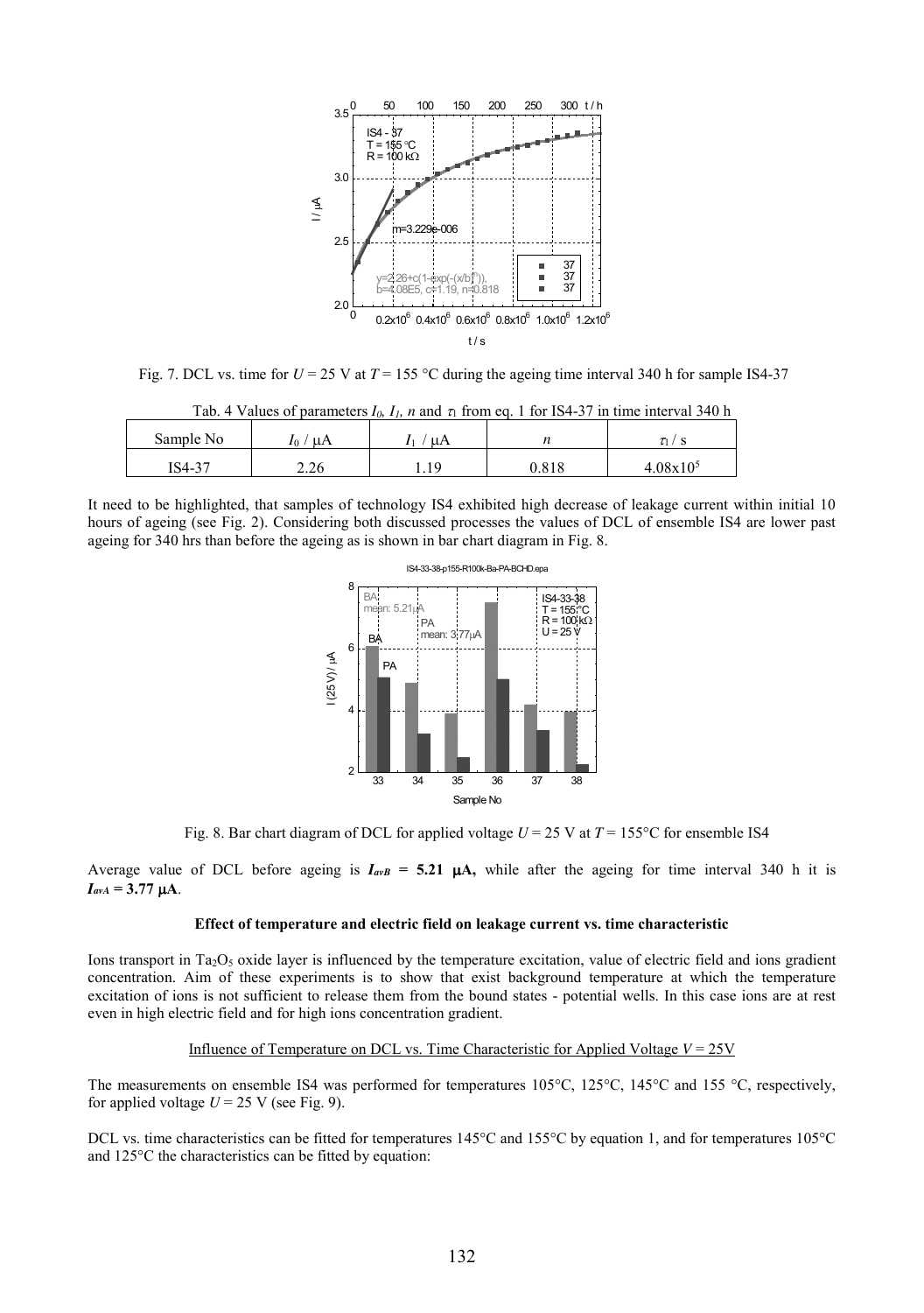

Fig. 7. DCL vs. time for  $U = 25$  V at  $T = 155$  °C during the ageing time interval 340 h for sample IS4-37

| Sample No | -uA<br>$I_{0}$ / | иA |       |               |
|-----------|------------------|----|-------|---------------|
| IS4-37    | 2.26             |    | 0.818 | $4.08x10^{5}$ |

|  | Tab. 4 Values of parameters $I_0$ , $I_1$ , n and $\tau_1$ from eq. 1 for IS4-37 in time interval 340 h |  |
|--|---------------------------------------------------------------------------------------------------------|--|
|  |                                                                                                         |  |

It need to be highlighted, that samples of technology IS4 exhibited high decrease of leakage current within initial 10 hours of ageing (see Fig. 2). Considering both discussed processes the values of DCL of ensemble IS4 are lower past ageing for 340 hrs than before the ageing as is shown in bar chart diagram in Fig. 8.



Fig. 8. Bar chart diagram of DCL for applied voltage  $U = 25$  V at  $T = 155^{\circ}$ C for ensemble IS4

Average value of DCL before ageing is  $I_{a\nu}B = 5.21 \mu A$ , while after the ageing for time interval 340 h it is  $I_{\text{avA}} = 3.77 \mu A$ .

# **Effect of temperature and electric field on leakage current vs. time characteristic**

Ions transport in Ta<sub>2</sub>O<sub>5</sub> oxide layer is influenced by the temperature excitation, value of electric field and ions gradient concentration. Aim of these experiments is to show that exist background temperature at which the temperature excitation of ions is not sufficient to release them from the bound states - potential wells. In this case ions are at rest even in high electric field and for high ions concentration gradient.

#### Influence of Temperature on DCL vs. Time Characteristic for Applied Voltage *V* = 25V

The measurements on ensemble IS4 was performed for temperatures 105°C, 125°C, 145°C and 155 °C, respectively, for applied voltage  $U = 25$  V (see Fig. 9).

DCL vs. time characteristics can be fitted for temperatures 145°C and 155°C by equation 1, and for temperatures 105°C and 125°C the characteristics can be fitted by equation: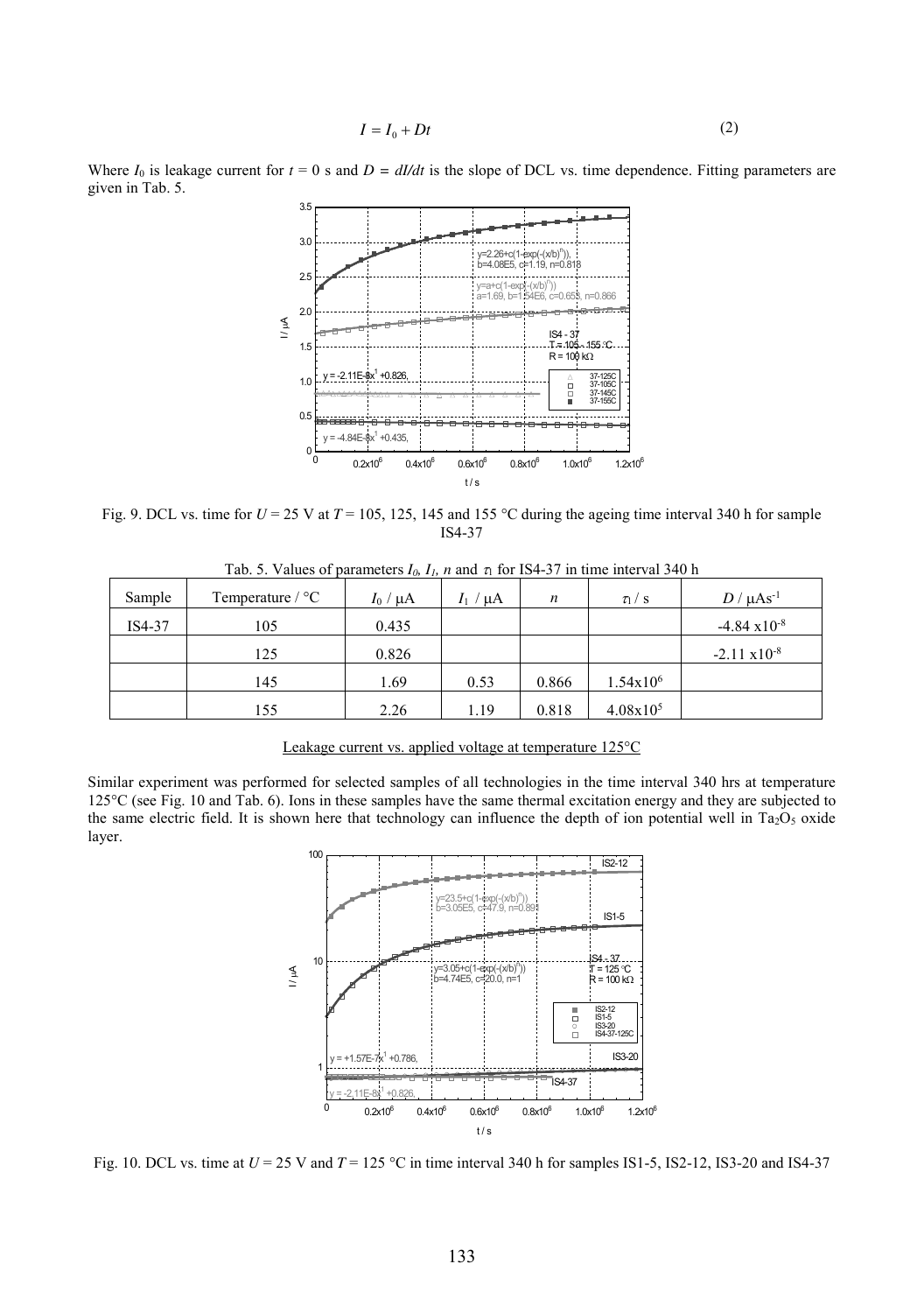$$
I = I_0 + Dt \tag{2}
$$

Where  $I_0$  is leakage current for  $t = 0$  s and  $D = dI/dt$  is the slope of DCL vs. time dependence. Fitting parameters are given in Tab. 5.



Fig. 9. DCL vs. time for  $U = 25$  V at  $T = 105$ , 125, 145 and 155 °C during the ageing time interval 340 h for sample IS4-37

| Sample | Temperature $\sqrt{\ }$ °C | $I_0/\mu A$ | $^{\prime}$ µA | $\boldsymbol{n}$ | $\tau_1$ / s         | $D/\mu\text{As}^{-1}$  |
|--------|----------------------------|-------------|----------------|------------------|----------------------|------------------------|
| IS4-37 | 105                        | 0.435       |                |                  |                      | $-4.84 \times 10^{-8}$ |
|        | 125                        | 0.826       |                |                  |                      | $-2.11 \times 10^{-8}$ |
|        | 145                        | 1.69        | 0.53           | 0.866            | $1.54x10^{6}$        |                        |
|        | 155                        | 2.26        | 1.19           | 0.818            | 4.08x10 <sup>5</sup> |                        |

Tab. 5. Values of parameters  $I_0$ ,  $I_1$ , n and  $\tau_1$  for IS4-37 in time interval 340 h

# Leakage current vs. applied voltage at temperature 125°C

Similar experiment was performed for selected samples of all technologies in the time interval 340 hrs at temperature  $125^{\circ}$ C (see Fig. 10 and Tab. 6). Ions in these samples have the same thermal excitation energy and they are subjected to the same electric field. It is shown here that technology can influence the depth of ion potential well in  $Ta_2O_5$  oxide layer.



Fig. 10. DCL vs. time at *U* = 25 V and *T* = 125 °C in time interval 340 h for samples IS1-5, IS2-12, IS3-20 and IS4-37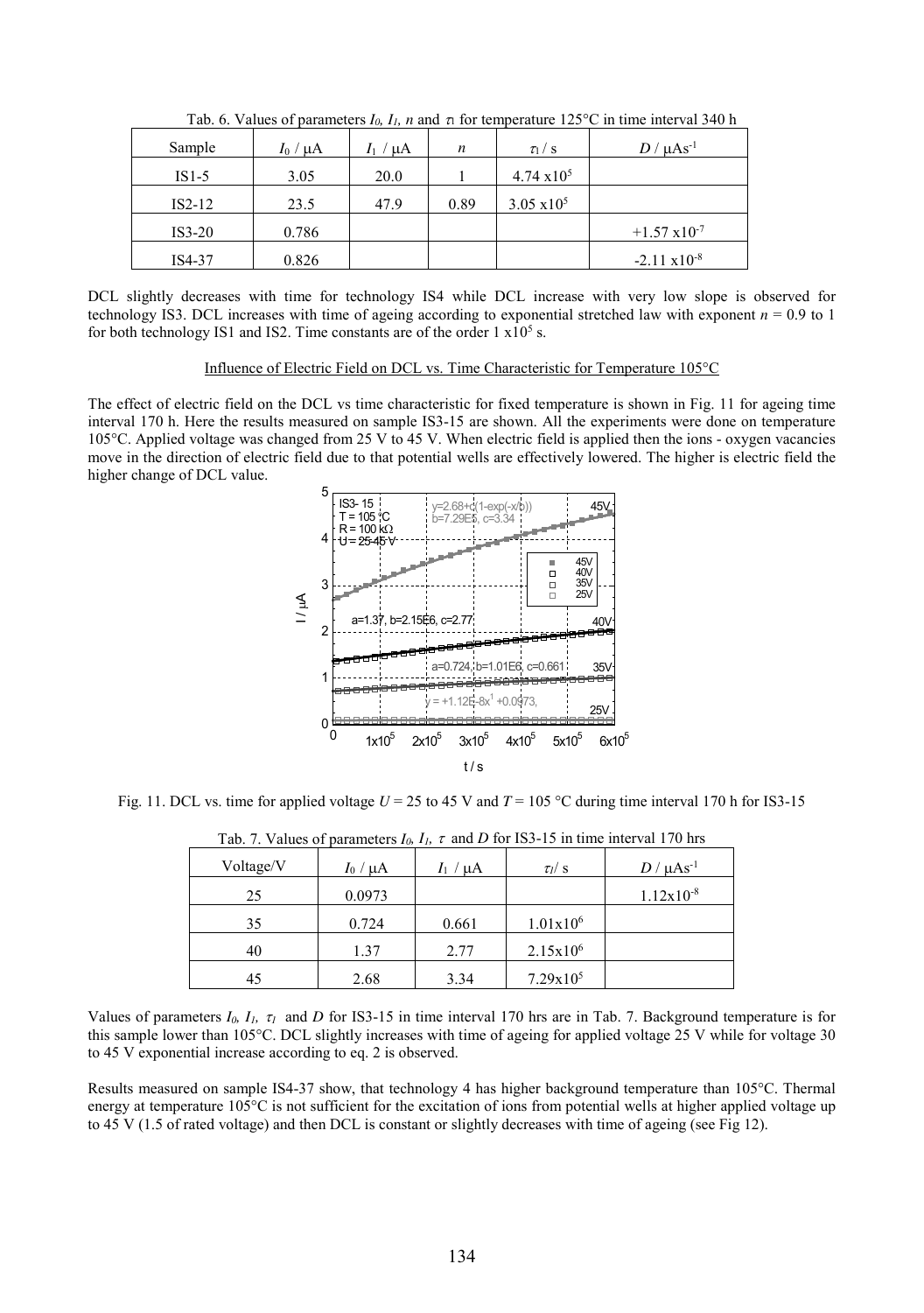| $-1/2$ $-1/3$ $-1/2$ $-1/2$ $-1/2$ $-1/2$ $-1/2$ $-1/2$ |                 |               |      |                      |                        |  |
|---------------------------------------------------------|-----------------|---------------|------|----------------------|------------------------|--|
| Sample                                                  | $I_0$ / $\mu$ A | $I_1 / \mu A$ | n    | $\tau_1/s$           | $D/\mu\text{As}^{-1}$  |  |
| $IS1-5$                                                 | 3.05            | 20.0          |      | $4.74 \times 10^{5}$ |                        |  |
| $IS2-12$                                                | 23.5            | 47.9          | 0.89 | $3.05 \times 10^5$   |                        |  |
| $IS3-20$                                                | 0.786           |               |      |                      | $+1.57 \times 10^{-7}$ |  |
| IS4-37                                                  | 0.826           |               |      |                      | $-2.11 \times 10^{-8}$ |  |

Tab. 6. Values of parameters  $I_0$ ,  $I_1$ ,  $n$  and  $n$  for temperature 125<sup>o</sup>C in time interval 340 h

DCL slightly decreases with time for technology IS4 while DCL increase with very low slope is observed for technology IS3. DCL increases with time of ageing according to exponential stretched law with exponent *n* = 0.9 to 1 for both technology IS1 and IS2. Time constants are of the order  $1 \times 10^5$  s.

#### Influence of Electric Field on DCL vs. Time Characteristic for Temperature 105°C

The effect of electric field on the DCL vs time characteristic for fixed temperature is shown in Fig. 11 for ageing time interval 170 h. Here the results measured on sample IS3-15 are shown. All the experiments were done on temperature 105°C. Applied voltage was changed from 25 V to 45 V. When electric field is applied then the ions - oxygen vacancies move in the direction of electric field due to that potential wells are effectively lowered. The higher is electric field the higher change of DCL value.



Fig. 11. DCL vs. time for applied voltage  $U = 25$  to 45 V and  $T = 105$  °C during time interval 170 h for IS3-15

| $100.7.$ The mass of parameters $P_0, P_1, V$ and $D$ for $100.10$ . The mine more variative mis- |             |               |              |                       |  |  |
|---------------------------------------------------------------------------------------------------|-------------|---------------|--------------|-----------------------|--|--|
| Voltage/V                                                                                         | $I_0/\mu A$ | $I_1 / \mu A$ | $\tau_l$ / s | $D/\mu\text{As}^{-1}$ |  |  |
| 25                                                                                                | 0.0973      |               |              | $1.12x10^{-8}$        |  |  |
| 35                                                                                                | 0.724       | 0.661         | $1.01x10^6$  |                       |  |  |
| 40                                                                                                | 1.37        | 2.77          | $2.15x10^6$  |                       |  |  |
| 45                                                                                                | 2.68        | 3.34          | $7.29x10^5$  |                       |  |  |

| Tab. 7. Values of parameters $I_0$ , $I_1$ , $\tau$ and D for IS3-15 in time interval 170 hrs |  |  |  |  |
|-----------------------------------------------------------------------------------------------|--|--|--|--|
|-----------------------------------------------------------------------------------------------|--|--|--|--|

Values of parameters  $I_0$ ,  $I_1$ ,  $\tau_1$  and *D* for IS3-15 in time interval 170 hrs are in Tab. 7. Background temperature is for this sample lower than 105°C. DCL slightly increases with time of ageing for applied voltage 25 V while for voltage 30 to 45 V exponential increase according to eq. 2 is observed.

Results measured on sample IS4-37 show, that technology 4 has higher background temperature than 105°C. Thermal energy at temperature 105°C is not sufficient for the excitation of ions from potential wells at higher applied voltage up to 45 V (1.5 of rated voltage) and then DCL is constant or slightly decreases with time of ageing (see Fig 12).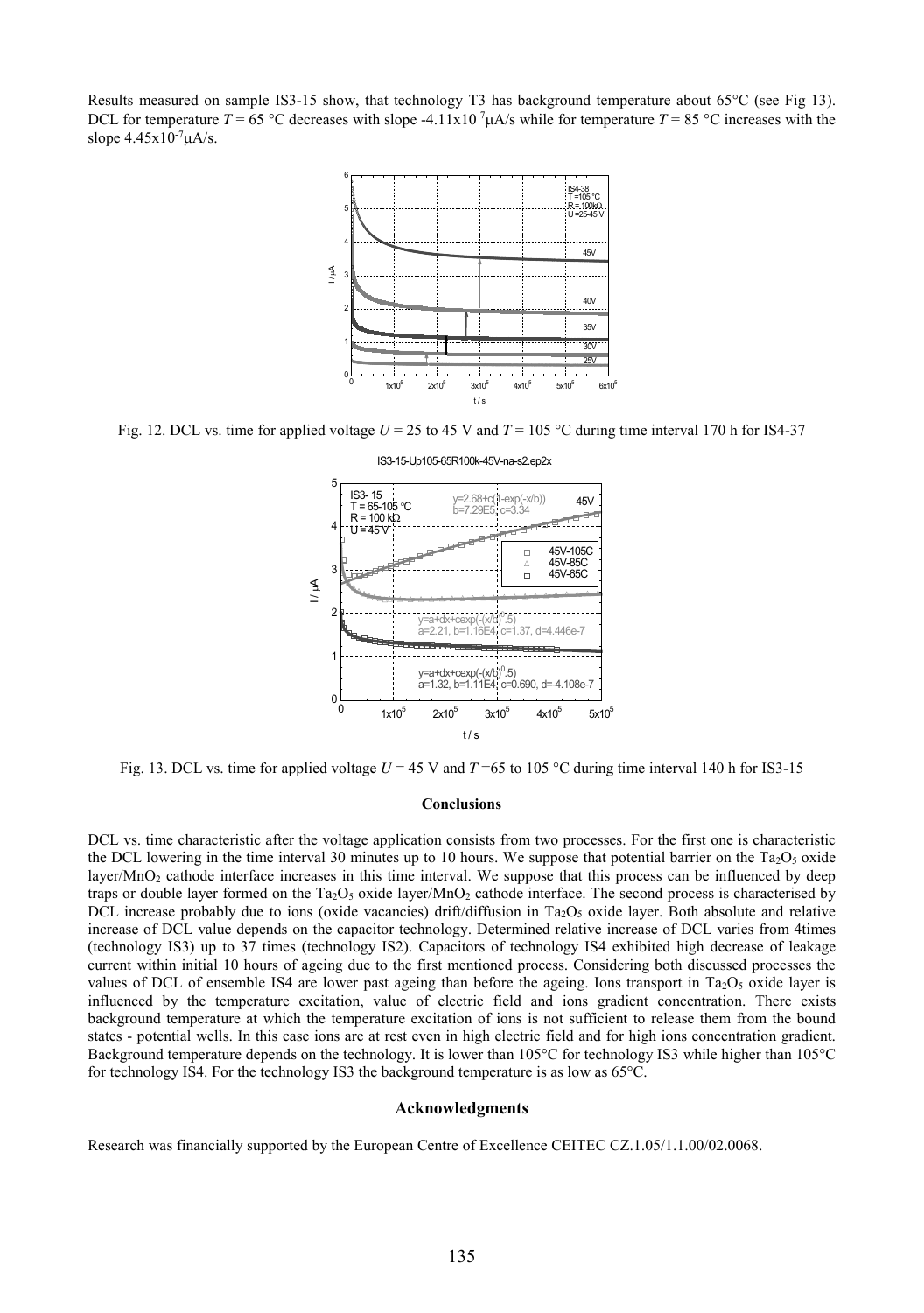Results measured on sample IS3-15 show, that technology T3 has background temperature about 65°C (see Fig 13). DCL for temperature  $T = 65 \degree C$  decreases with slope -4.11x10<sup>-7</sup> $\mu$ A/s while for temperature  $T = 85 \degree C$  increases with the slope  $4.45x10^{-7}$ uA/s.



Fig. 12. DCL vs. time for applied voltage  $U = 25$  to 45 V and  $T = 105$  °C during time interval 170 h for IS4-37



Fig. 13. DCL vs. time for applied voltage  $U = 45$  V and  $T = 65$  to 105 °C during time interval 140 h for IS3-15

#### **Conclusions**

DCL vs. time characteristic after the voltage application consists from two processes. For the first one is characteristic the DCL lowering in the time interval 30 minutes up to 10 hours. We suppose that potential barrier on the  $Ta_2O_5$  oxide layer/MnO<sub>2</sub> cathode interface increases in this time interval. We suppose that this process can be influenced by deep traps or double layer formed on the Ta<sub>2</sub>O<sub>5</sub> oxide layer/MnO<sub>2</sub> cathode interface. The second process is characterised by DCL increase probably due to ions (oxide vacancies) drift/diffusion in Ta<sub>2</sub>O<sub>5</sub> oxide layer. Both absolute and relative increase of DCL value depends on the capacitor technology. Determined relative increase of DCL varies from 4times (technology IS3) up to 37 times (technology IS2). Capacitors of technology IS4 exhibited high decrease of leakage current within initial 10 hours of ageing due to the first mentioned process. Considering both discussed processes the values of DCL of ensemble IS4 are lower past ageing than before the ageing. Ions transport in Ta<sub>2</sub>O<sub>5</sub> oxide layer is influenced by the temperature excitation, value of electric field and ions gradient concentration. There exists background temperature at which the temperature excitation of ions is not sufficient to release them from the bound states - potential wells. In this case ions are at rest even in high electric field and for high ions concentration gradient. Background temperature depends on the technology. It is lower than 105°C for technology IS3 while higher than 105°C for technology IS4. For the technology IS3 the background temperature is as low as 65°C.

#### **Acknowledgments**

Research was financially supported by the European Centre of Excellence CEITEC CZ.1.05/1.1.00/02.0068.